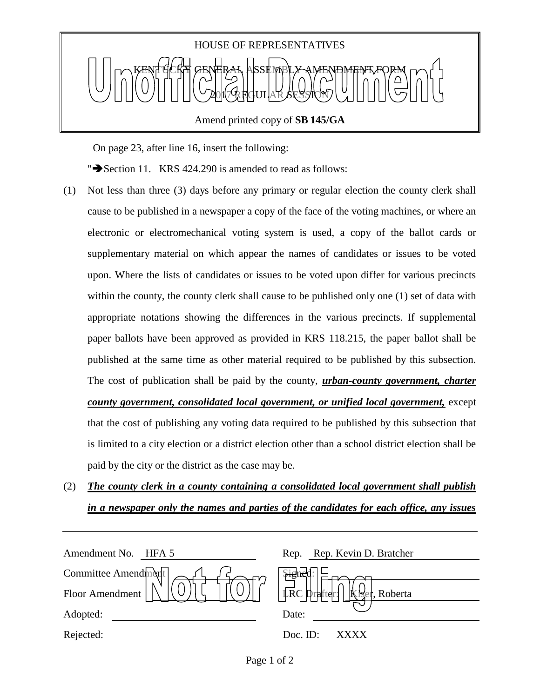

On page 23, after line 16, insert the following:

" $\blacktriangleright$  Section 11. KRS 424.290 is amended to read as follows:

- (1) Not less than three (3) days before any primary or regular election the county clerk shall cause to be published in a newspaper a copy of the face of the voting machines, or where an electronic or electromechanical voting system is used, a copy of the ballot cards or supplementary material on which appear the names of candidates or issues to be voted upon. Where the lists of candidates or issues to be voted upon differ for various precincts within the county, the county clerk shall cause to be published only one (1) set of data with appropriate notations showing the differences in the various precincts. If supplemental paper ballots have been approved as provided in KRS 118.215, the paper ballot shall be published at the same time as other material required to be published by this subsection. The cost of publication shall be paid by the county, *urban-county government, charter county government, consolidated local government, or unified local government,* except that the cost of publishing any voting data required to be published by this subsection that is limited to a city election or a district election other than a school district election shall be paid by the city or the district as the case may be.
- (2) *The county clerk in a county containing a consolidated local government shall publish in a newspaper only the names and parties of the candidates for each office, any issues*

| Amendment No.<br>HFA 5 | Rep. Rep. Kevin D. Bratcher                 |
|------------------------|---------------------------------------------|
| Committee Amendment    | بهبز                                        |
| Floor Amendment        | $ \vec{LRC} $<br>Kiser, Roberta<br>Drafter: |
| Adopted:               | Date:                                       |
| Rejected:              | Doc. ID:<br><b>XXXX</b>                     |